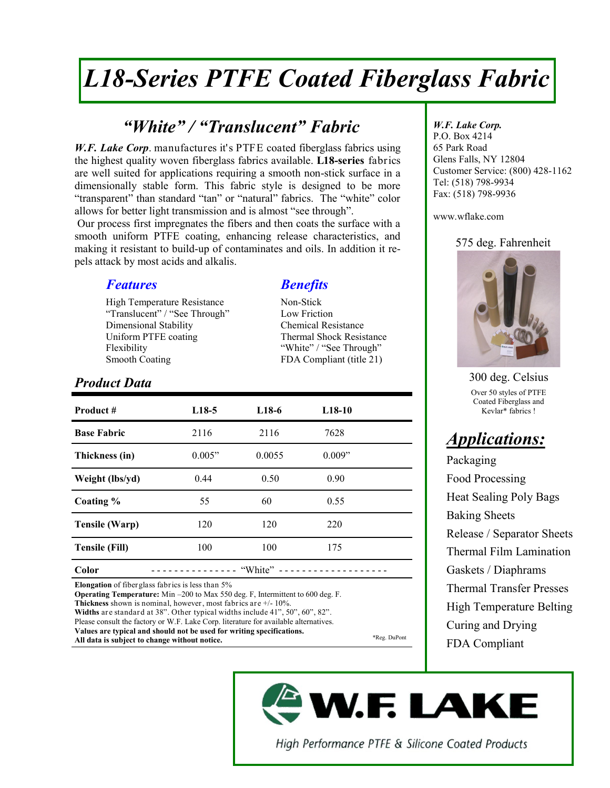# *L18-Series PTFE Coated Fiberglass Fabric*

### *"White" / "Translucent" Fabric*

*W.F. Lake Corp*. manufactures it's PTFE coated fiberglass fabrics using the highest quality woven fiberglass fabrics available. **L18-series** fabrics are well suited for applications requiring a smooth non-stick surface in a dimensionally stable form. This fabric style is designed to be more "transparent" than standard "tan" or "natural" fabrics. The "white" color allows for better light transmission and is almost "see through".

Our process first impregnates the fibers and then coats the surface with a smooth uniform PTFE coating, enhancing release characteristics, and making it resistant to build-up of contaminates and oils. In addition it repels attack by most acids and alkalis.

#### *Features*

High Temperature Resistance "Translucent" / "See Through" Dimensional Stability Uniform PTFE coating Flexibility Smooth Coating

#### *Benefits*

Non-Stick Low Friction Chemical Resistance Thermal Shock Resistance "White" / "See Through" FDA Compliant (title 21)

#### *Product Data*

| <b>Product</b> #                                        | $L18-5$                                                                                                                                                                                                                                                                                                       | $L18-6$ | $L18-10$ |  |
|---------------------------------------------------------|---------------------------------------------------------------------------------------------------------------------------------------------------------------------------------------------------------------------------------------------------------------------------------------------------------------|---------|----------|--|
| <b>Base Fabric</b>                                      | 2116                                                                                                                                                                                                                                                                                                          | 2116    | 7628     |  |
| Thickness (in)                                          | 0.005"                                                                                                                                                                                                                                                                                                        | 0.0055  | 0.009"   |  |
| Weight (lbs/yd)                                         | 0.44                                                                                                                                                                                                                                                                                                          | 0.50    | 0.90     |  |
| Coating %                                               | 55                                                                                                                                                                                                                                                                                                            | 60      | 0.55     |  |
| <b>Tensile (Warp)</b>                                   | 120                                                                                                                                                                                                                                                                                                           | 120     | 220      |  |
| <b>Tensile (Fill)</b>                                   | 100                                                                                                                                                                                                                                                                                                           | 100     | 175      |  |
| Color                                                   |                                                                                                                                                                                                                                                                                                               |         |          |  |
| <b>Elongation</b> of fiberglass fabrics is less than 5% | $\mathbb{R}$ . M $\mathbb{R}$ , $\mathbb{R}$ , $\mathbb{R}$ , $\mathbb{R}$ , $\mathbb{R}$ , $\mathbb{R}$ , $\mathbb{R}$ , $\mathbb{R}$ , $\mathbb{R}$ , $\mathbb{R}$ , $\mathbb{R}$ , $\mathbb{R}$ , $\mathbb{R}$ , $\mathbb{R}$ , $\mathbb{R}$ , $\mathbb{R}$ , $\mathbb{R}$ , $\mathbb{R}$ , $\mathbb{R}$ , |         |          |  |

**Operating Temperature:** Min –200 to Max 550 deg. F, Intermittent to 600 deg. F. **Thickness** shown is nominal, however, most fabrics are +/- 10%.

**Widths** are standard at 38". Other typical widths include 41", 50", 60", 82".

Please consult the factory or W.F. Lake Corp. literature for available alternatives.

**Values are typical and should not be used for writing specifications.** 

**All data is subject to change without notice.**

*W.F. Lake Corp.* P.O. Box 4214 65 Park Road Glens Falls, NY 12804 Customer Service: (800) 428-1162 Tel: (518) 798-9934 Fax: (518) 798-9936

www.wflake.com

#### 575 deg. Fahrenheit



 300 deg. Celsius Over 50 styles of PTFE Coated Fiberglass and Kevlar\* fabrics !

## *Applications:*

Packaging Food Processing Heat Sealing Poly Bags Baking Sheets Release / Separator Sheets Thermal Film Lamination Gaskets / Diaphrams Thermal Transfer Presses High Temperature Belting Curing and Drying FDA Compliant



\*Reg. DuPont

High Performance PTFE & Silicone Coated Products